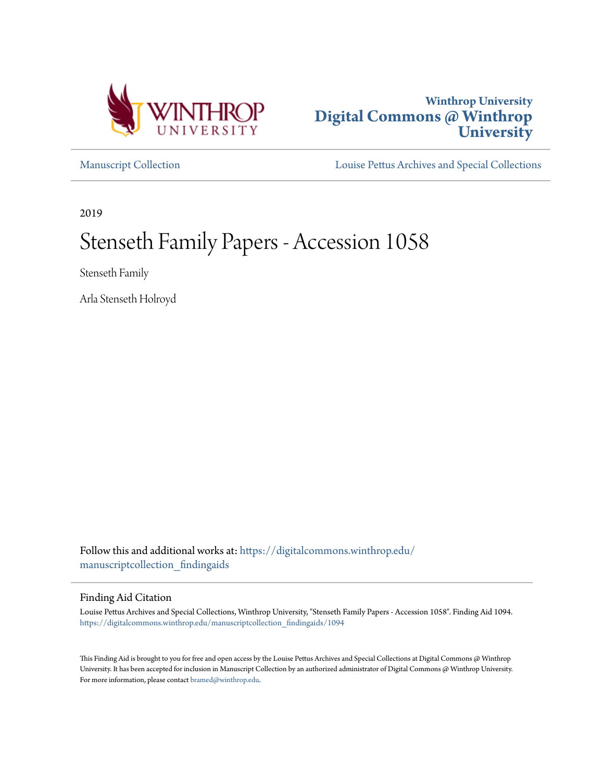



[Manuscript Collection](https://digitalcommons.winthrop.edu/manuscriptcollection_findingaids?utm_source=digitalcommons.winthrop.edu%2Fmanuscriptcollection_findingaids%2F1094&utm_medium=PDF&utm_campaign=PDFCoverPages) [Louise Pettus Archives and Special Collections](https://digitalcommons.winthrop.edu/pettus_archives?utm_source=digitalcommons.winthrop.edu%2Fmanuscriptcollection_findingaids%2F1094&utm_medium=PDF&utm_campaign=PDFCoverPages)

2019

# Stenseth Family Papers - Accession 1058

Stenseth Family

Arla Stenseth Holroyd

Follow this and additional works at: [https://digitalcommons.winthrop.edu/](https://digitalcommons.winthrop.edu/manuscriptcollection_findingaids?utm_source=digitalcommons.winthrop.edu%2Fmanuscriptcollection_findingaids%2F1094&utm_medium=PDF&utm_campaign=PDFCoverPages) [manuscriptcollection\\_findingaids](https://digitalcommons.winthrop.edu/manuscriptcollection_findingaids?utm_source=digitalcommons.winthrop.edu%2Fmanuscriptcollection_findingaids%2F1094&utm_medium=PDF&utm_campaign=PDFCoverPages)

#### Finding Aid Citation

Louise Pettus Archives and Special Collections, Winthrop University, "Stenseth Family Papers - Accession 1058". Finding Aid 1094. [https://digitalcommons.winthrop.edu/manuscriptcollection\\_findingaids/1094](https://digitalcommons.winthrop.edu/manuscriptcollection_findingaids/1094?utm_source=digitalcommons.winthrop.edu%2Fmanuscriptcollection_findingaids%2F1094&utm_medium=PDF&utm_campaign=PDFCoverPages)

This Finding Aid is brought to you for free and open access by the Louise Pettus Archives and Special Collections at Digital Commons @ Winthrop University. It has been accepted for inclusion in Manuscript Collection by an authorized administrator of Digital Commons @ Winthrop University. For more information, please contact [bramed@winthrop.edu.](mailto:bramed@winthrop.edu)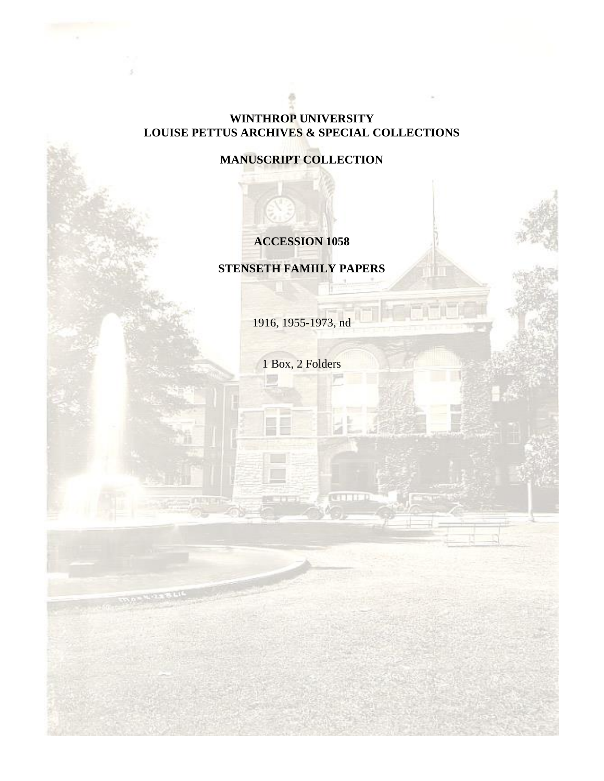#### **WINTHROP UNIVERSITY LOUISE PETTUS ARCHIVES & SPECIAL COLLECTIONS**

**MANUSCRIPT COLLECTION**

## **ACCESSION 1058**

**STENSETH FAMIILY PAPERS**

1916, 1955-1973, nd

1 Box, 2 Folders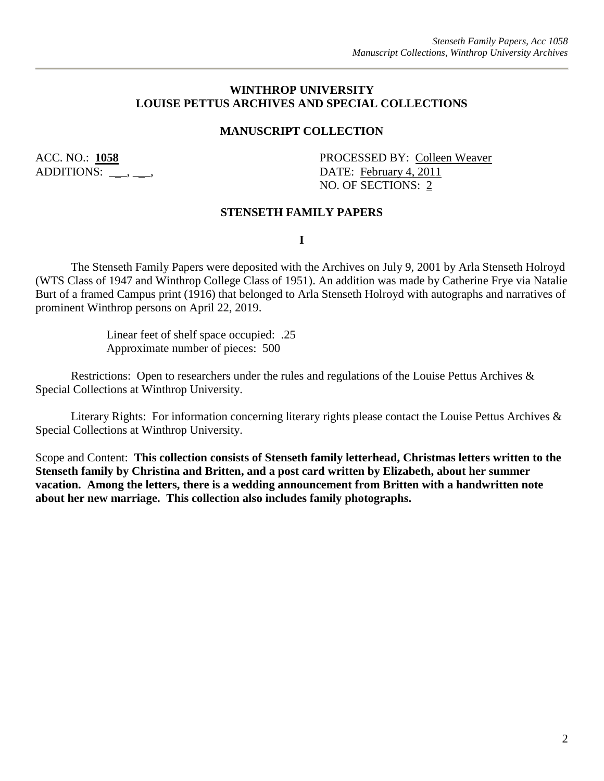#### **WINTHROP UNIVERSITY LOUISE PETTUS ARCHIVES AND SPECIAL COLLECTIONS**

#### **MANUSCRIPT COLLECTION**

ACC. NO.: **1058** PROCESSED BY: Colleen Weaver ADDITIONS: . . . DATE: February 4, 2011 NO. OF SECTIONS: 2

#### **STENSETH FAMILY PAPERS**

**I**

The Stenseth Family Papers were deposited with the Archives on July 9, 2001 by Arla Stenseth Holroyd (WTS Class of 1947 and Winthrop College Class of 1951). An addition was made by Catherine Frye via Natalie Burt of a framed Campus print (1916) that belonged to Arla Stenseth Holroyd with autographs and narratives of prominent Winthrop persons on April 22, 2019.

> Linear feet of shelf space occupied: .25 Approximate number of pieces: 500

Restrictions: Open to researchers under the rules and regulations of the Louise Pettus Archives & Special Collections at Winthrop University.

Literary Rights: For information concerning literary rights please contact the Louise Pettus Archives & Special Collections at Winthrop University.

Scope and Content: **This collection consists of Stenseth family letterhead, Christmas letters written to the Stenseth family by Christina and Britten, and a post card written by Elizabeth, about her summer vacation. Among the letters, there is a wedding announcement from Britten with a handwritten note about her new marriage. This collection also includes family photographs.**